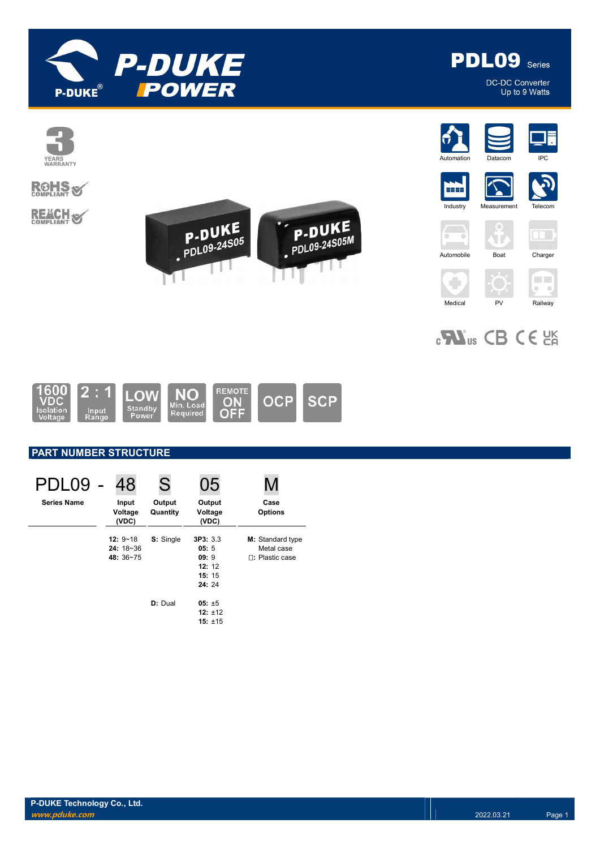



DC-DC Converter Up to 9 Watts



# **ROHS**

**REACH S** 



















 $_{c}$ Nus CB CE  $_{c}$ 



# PART NUMBER STRUCTURE

| PDL09              | 48                                      | S                  | 05                                                  |                                                          |
|--------------------|-----------------------------------------|--------------------|-----------------------------------------------------|----------------------------------------------------------|
| <b>Series Name</b> | Input<br>Voltage<br>(VDC)               | Output<br>Quantity | Output<br>Voltage<br>(VDC)                          | Case<br><b>Options</b>                                   |
|                    | $12: 9 - 18$<br>$24:18-36$<br>48: 36~75 | S: Single          | 3P3: 3.3<br>05:5<br>09:9<br>12:12<br>15:15<br>24:24 | M: Standard type<br>Metal case<br><b>n:</b> Plastic case |
|                    |                                         | D: Dual            | $05: \pm 5$<br>$12: +12$<br>$15: \pm 15$            |                                                          |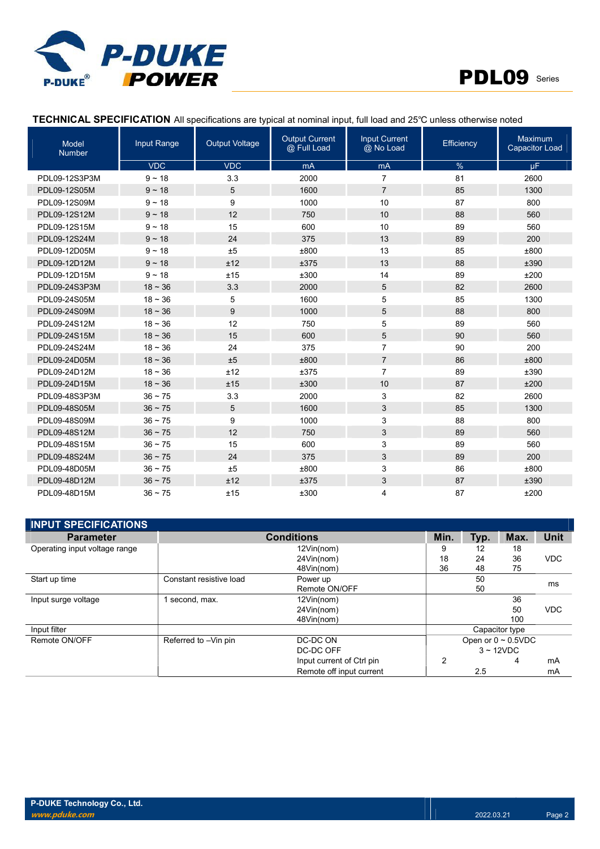



# TECHNICAL SPECIFICATION All specifications are typical at nominal input, full load and 25℃ unless otherwise noted

| Model<br><b>Number</b> | Input Range  | <b>Output Voltage</b> | <b>Output Current</b><br>@ Full Load | <b>Input Current</b><br>@ No Load | Efficiency | <b>Maximum</b><br><b>Capacitor Load</b> |
|------------------------|--------------|-----------------------|--------------------------------------|-----------------------------------|------------|-----------------------------------------|
|                        | <b>VDC</b>   | <b>VDC</b>            | mA                                   | mA                                | %          | $\mu$ F                                 |
| PDL09-12S3P3M          | $9 - 18$     | 3.3                   | 2000                                 | $\overline{7}$                    | 81         | 2600                                    |
| PDL09-12S05M           | $9 - 18$     | 5                     | 1600                                 | $\overline{7}$                    | 85         | 1300                                    |
| PDL09-12S09M           | $9 - 18$     | 9                     | 1000                                 | 10                                | 87         | 800                                     |
| PDL09-12S12M           | $9 - 18$     | 12                    | 750                                  | 10                                | 88         | 560                                     |
| PDL09-12S15M           | $9 - 18$     | 15                    | 600                                  | 10                                | 89         | 560                                     |
| PDL09-12S24M           | $9 - 18$     | 24                    | 375                                  | 13                                | 89         | 200                                     |
| PDL09-12D05M           | $9 - 18$     | ±5                    | ±800                                 | 13                                | 85         | ±800                                    |
| PDL09-12D12M           | $9 - 18$     | ±12                   | ±375                                 | 13                                | 88         | ±390                                    |
| PDL09-12D15M           | $9 - 18$     | ±15                   | ±300                                 | 14                                | 89         | ±200                                    |
| PDL09-24S3P3M          | $18 - 36$    | 3.3                   | 2000                                 | 5                                 | 82         | 2600                                    |
| PDL09-24S05M           | $18 - 36$    | 5                     | 1600                                 | 5                                 | 85         | 1300                                    |
| PDL09-24S09M           | $18 - 36$    | 9                     | 1000                                 | 5                                 | 88         | 800                                     |
| PDL09-24S12M           | $18 - 36$    | 12                    | 750                                  | 5                                 | 89         | 560                                     |
| PDL09-24S15M           | $18 - 36$    | 15                    | 600                                  | 5                                 | 90         | 560                                     |
| PDL09-24S24M           | $18 - 36$    | 24                    | 375                                  | $\overline{7}$                    | 90         | 200                                     |
| PDL09-24D05M           | $18 - 36$    | ±5                    | ±800                                 | $\overline{7}$                    | 86         | ±800                                    |
| PDL09-24D12M           | $18 - 36$    | ±12                   | ±375                                 | $\overline{7}$                    | 89         | ±390                                    |
| PDL09-24D15M           | $18 - 36$    | ±15                   | ±300                                 | 10                                | 87         | ±200                                    |
| PDL09-48S3P3M          | $36 \sim 75$ | 3.3                   | 2000                                 | 3                                 | 82         | 2600                                    |
| PDL09-48S05M           | $36 \sim 75$ | 5                     | 1600                                 | 3                                 | 85         | 1300                                    |
| PDL09-48S09M           | $36 \sim 75$ | 9                     | 1000                                 | 3                                 | 88         | 800                                     |
| PDL09-48S12M           | $36 - 75$    | 12                    | 750                                  | 3                                 | 89         | 560                                     |
| PDL09-48S15M           | $36 \sim 75$ | 15                    | 600                                  | 3                                 | 89         | 560                                     |
| PDL09-48S24M           | $36 \sim 75$ | 24                    | 375                                  | 3                                 | 89         | 200                                     |
| PDL09-48D05M           | $36 \sim 75$ | ±5                    | ±800                                 | 3                                 | 86         | ±800                                    |
| PDL09-48D12M           | $36 \sim 75$ | ±12                   | ±375                                 | 3                                 | 87         | ±390                                    |
| PDL09-48D15M           | $36 - 75$    | ±15                   | ±300                                 | 4                                 | 87         | ±200                                    |

| <b>INPUT SPECIFICATIONS</b>   |                         |                           |      |      |                          |            |
|-------------------------------|-------------------------|---------------------------|------|------|--------------------------|------------|
| <b>Parameter</b>              |                         | <b>Conditions</b>         | Min. | Typ. | Max.                     | Unit       |
| Operating input voltage range |                         | 12Vin(nom)                | 9    | 12   | 18                       |            |
|                               |                         | 24Vin(nom)                | 18   | 24   | 36                       | <b>VDC</b> |
|                               |                         | 48Vin(nom)                | 36   | 48   | 75                       |            |
| Start up time                 | Constant resistive load | Power up                  |      | 50   |                          |            |
|                               |                         | Remote ON/OFF             |      | 50   |                          | ms         |
| Input surge voltage           | second, max.            | 12Vin(nom)                |      |      | 36                       |            |
|                               |                         | 24Vin(nom)                |      |      | 50                       | <b>VDC</b> |
|                               |                         | 48Vin(nom)                |      |      | 100                      |            |
| Input filter                  |                         |                           |      |      | Capacitor type           |            |
| Remote ON/OFF                 | Referred to -Vin pin    | DC-DC ON                  |      |      | Open or $0 \sim 0.5$ VDC |            |
|                               |                         | DC-DC OFF                 |      |      | $3 \sim 12$ VDC          |            |
|                               |                         | Input current of Ctrl pin | 2    |      | 4                        | mA         |
|                               |                         | Remote off input current  |      | 2.5  |                          | mA         |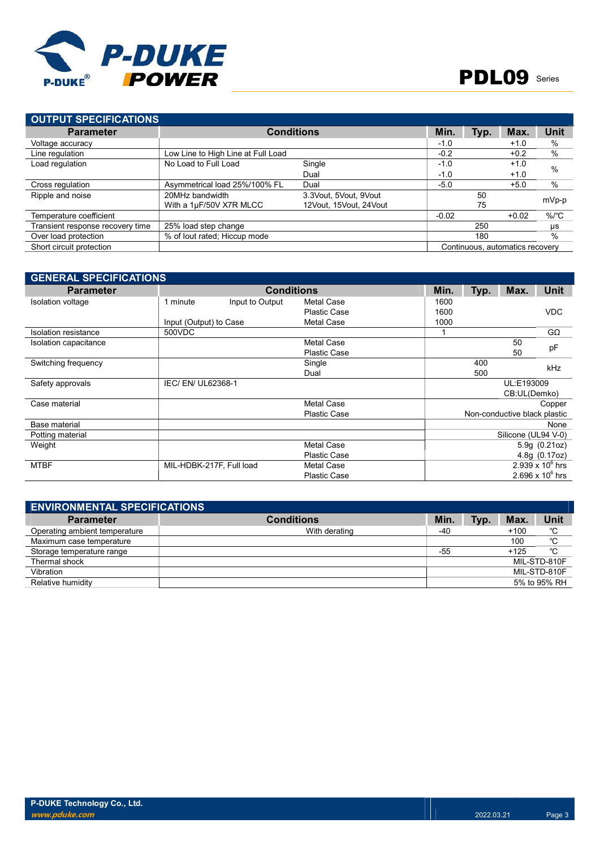

| <b>OUTPUT SPECIFICATIONS</b>     |                                    |                        |         |      |                                 |                 |
|----------------------------------|------------------------------------|------------------------|---------|------|---------------------------------|-----------------|
| <b>Parameter</b>                 |                                    | <b>Conditions</b>      | Min.    | Typ. | Max.                            | Unit            |
| Voltage accuracy                 |                                    |                        | $-1.0$  |      | $+1.0$                          | $\%$            |
| Line regulation                  | Low Line to High Line at Full Load |                        | $-0.2$  |      | $+0.2$                          | %               |
| Load regulation                  | No Load to Full Load               | Single                 | $-1.0$  |      | $+1.0$                          | $\frac{0}{0}$   |
|                                  |                                    | Dual                   | $-1.0$  |      | $+1.0$                          |                 |
| Cross regulation                 | Asymmetrical load 25%/100% FL      | Dual                   | $-5.0$  |      | $+5.0$                          | $\%$            |
| Ripple and noise                 | 20MHz bandwidth                    | 3.3Vout, 5Vout, 9Vout  |         | 50   |                                 |                 |
|                                  | With a 1µF/50V X7R MLCC            | 12Vout. 15Vout. 24Vout |         | 75   |                                 |                 |
| Temperature coefficient          |                                    |                        | $-0.02$ |      | $+0.02$                         | %/ $^{\circ}$ C |
| Transient response recovery time | 25% load step change               |                        |         | 250  |                                 | μs              |
| Over load protection             | % of lout rated; Hiccup mode       |                        |         | 180  |                                 | %               |
| Short circuit protection         |                                    |                        |         |      | Continuous, automatics recovery |                 |
|                                  |                                    |                        |         |      |                                 | mVp-p           |

| <b>GENERAL SPECIFICATIONS</b> |                          |                   |                     |      |      |                              |                    |
|-------------------------------|--------------------------|-------------------|---------------------|------|------|------------------------------|--------------------|
| <b>Parameter</b>              |                          | <b>Conditions</b> |                     | Min. | Typ. | Max.                         | <b>Unit</b>        |
| Isolation voltage             | 1 minute                 | Input to Output   | Metal Case          | 1600 |      |                              |                    |
|                               |                          |                   | <b>Plastic Case</b> | 1600 |      |                              | <b>VDC</b>         |
|                               | Input (Output) to Case   |                   | <b>Metal Case</b>   | 1000 |      |                              |                    |
| Isolation resistance          | 500VDC                   |                   |                     |      |      |                              | $G\Omega$          |
| Isolation capacitance         |                          |                   | Metal Case          |      |      | 50                           | pF                 |
|                               |                          |                   | <b>Plastic Case</b> |      |      | 50                           |                    |
| Switching frequency           |                          |                   | Single              |      | 400  |                              | <b>kHz</b>         |
|                               |                          |                   | Dual                |      | 500  |                              |                    |
| Safety approvals              | IEC/ EN/ UL62368-1       |                   |                     |      |      | UL:E193009                   |                    |
|                               |                          |                   |                     |      |      | CB:UL(Demko)                 |                    |
| Case material                 |                          |                   | Metal Case          |      |      |                              | Copper             |
|                               |                          |                   | <b>Plastic Case</b> |      |      | Non-conductive black plastic |                    |
| Base material                 |                          |                   |                     |      |      |                              | None               |
| Potting material              |                          |                   |                     |      |      | Silicone (UL94 V-0)          |                    |
| Weight                        |                          |                   | Metal Case          |      |      |                              | 5.9g (0.21oz)      |
|                               |                          |                   | <b>Plastic Case</b> |      |      |                              | 4.8g (0.17oz)      |
| <b>MTBF</b>                   | MIL-HDBK-217F, Full load |                   | Metal Case          |      |      |                              | 2.939 x $10^6$ hrs |
|                               |                          |                   | <b>Plastic Case</b> |      |      |                              | 2.696 x $10^6$ hrs |

| <b>ENVIRONMENTAL SPECIFICATIONS</b> |                   |       |      |        |              |
|-------------------------------------|-------------------|-------|------|--------|--------------|
| <b>Parameter</b>                    | <b>Conditions</b> | Min.  | Typ. | Max.   | <b>Unit</b>  |
| Operating ambient temperature       | With derating     | -40   |      | $+100$ | °C           |
| Maximum case temperature            |                   |       |      | 100    | °C           |
| Storage temperature range           |                   | $-55$ |      | $+125$ | °C           |
| Thermal shock                       |                   |       |      |        | MIL-STD-810F |
| Vibration                           |                   |       |      |        | MIL-STD-810F |
| Relative humidity                   |                   |       |      |        | 5% to 95% RH |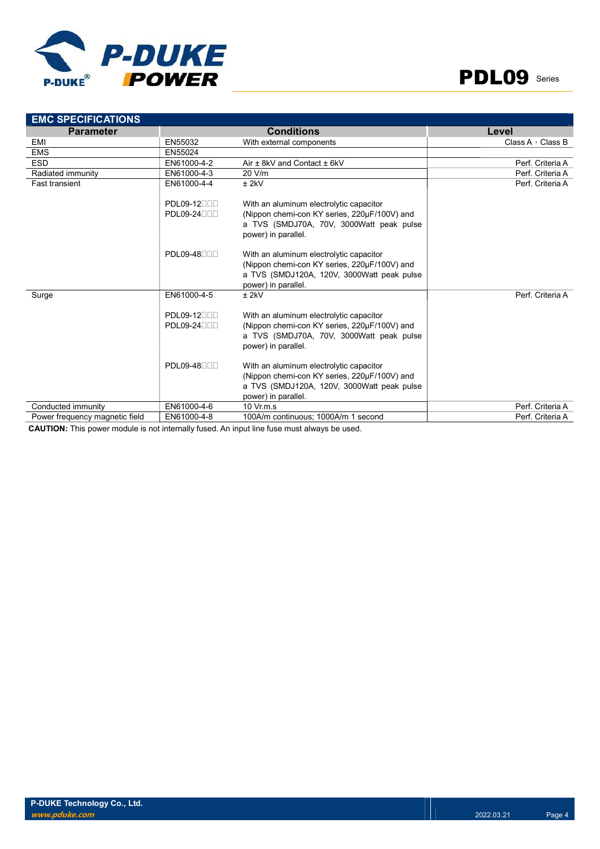



| <b>EMC SPECIFICATIONS</b>      |                                       |                                                                                                                                                              |                         |
|--------------------------------|---------------------------------------|--------------------------------------------------------------------------------------------------------------------------------------------------------------|-------------------------|
| <b>Parameter</b>               |                                       | <b>Conditions</b>                                                                                                                                            | Level                   |
| EMI                            | EN55032                               | With external components                                                                                                                                     | Class A $\cdot$ Class B |
| <b>EMS</b>                     | EN55024                               |                                                                                                                                                              |                         |
| <b>ESD</b>                     | EN61000-4-2                           | Air ± 8kV and Contact ± 6kV                                                                                                                                  | Perf. Criteria A        |
| Radiated immunity              | EN61000-4-3                           | 20 V/m                                                                                                                                                       | Perf. Criteria A        |
| <b>Fast transient</b>          | EN61000-4-4                           | $±$ 2kV                                                                                                                                                      | Perf. Criteria A        |
|                                | PDL09-12000<br>$PDL09-24$             | With an aluminum electrolytic capacitor<br>(Nippon chemi-con KY series, 220µF/100V) and<br>a TVS (SMDJ70A, 70V, 3000Watt peak pulse<br>power) in parallel.   |                         |
|                                | <b>PDL09-48000</b>                    | With an aluminum electrolytic capacitor<br>(Nippon chemi-con KY series, 220µF/100V) and<br>a TVS (SMDJ120A, 120V, 3000Watt peak pulse<br>power) in parallel. |                         |
| Surge                          | EN61000-4-5                           | $±$ 2kV                                                                                                                                                      | Perf. Criteria A        |
|                                | PDL09-12 <sub>00</sub><br>PDL09-24000 | With an aluminum electrolytic capacitor<br>(Nippon chemi-con KY series, 220µF/100V) and<br>a TVS (SMDJ70A, 70V, 3000Watt peak pulse<br>power) in parallel.   |                         |
|                                | PDL09-48 <sub>00</sub>                | With an aluminum electrolytic capacitor<br>(Nippon chemi-con KY series, 220µF/100V) and<br>a TVS (SMDJ120A, 120V, 3000Watt peak pulse<br>power) in parallel. |                         |
| Conducted immunity             | EN61000-4-6                           | $10 \text{ Vr} \text{m} \text{ s}$                                                                                                                           | Perf. Criteria A        |
| Power frequency magnetic field | EN61000-4-8                           | 100A/m continuous; 1000A/m 1 second                                                                                                                          | Perf. Criteria A        |

CAUTION: This power module is not internally fused. An input line fuse must always be used.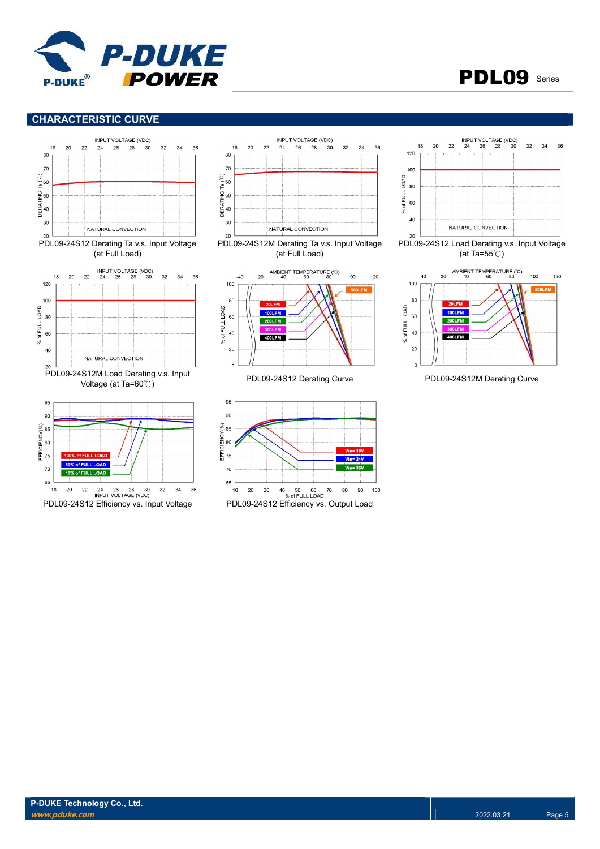



# CHARACTERISTIC CURVE













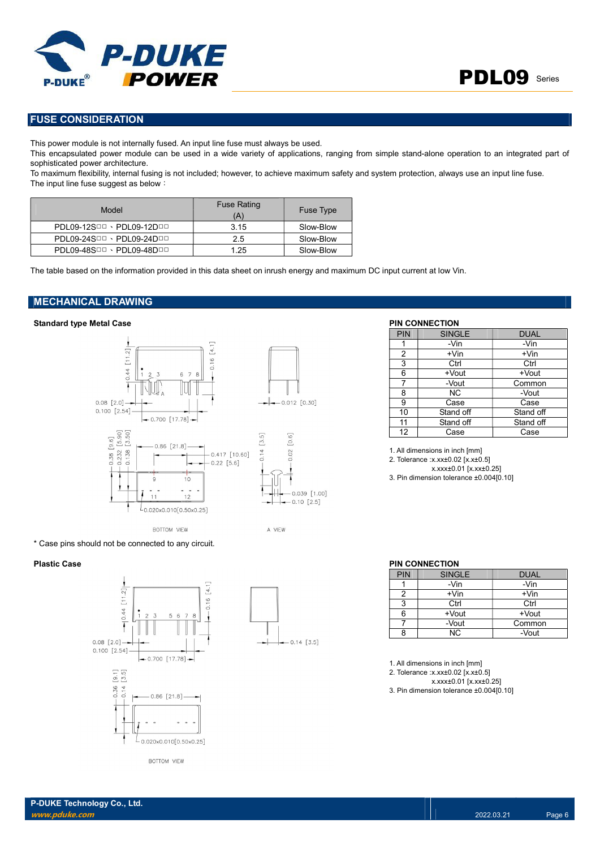

# FUSE CONSIDERATION

This power module is not internally fused. An input line fuse must always be used.

This encapsulated power module can be used in a wide variety of applications, ranging from simple stand-alone operation to an integrated part of sophisticated power architecture.

To maximum flexibility, internal fusing is not included; however, to achieve maximum safety and system protection, always use an input line fuse. The input line fuse suggest as below:

| Model                     | <b>Fuse Rating</b><br>(A) | <b>Fuse Type</b> |
|---------------------------|---------------------------|------------------|
| PDL09-12SDD · PDL09-12DDD | 3.15                      | Slow-Blow        |
| PDL09-24SDD · PDL09-24DDD | 2.5                       | Slow-Blow        |
| PDL09-48SOD · PDL09-48DOD | 1.25                      | Slow-Blow        |

The table based on the information provided in this data sheet on inrush energy and maximum DC input current at low Vin.

# MECHANICAL DRAWING

### Standard type Metal Case **PIN CONNECTION**



\* Case pins should not be connected to any circuit.





| PIN | <b>SINGLE</b> | <b>DUAL</b> |
|-----|---------------|-------------|
|     | -Vin          | -Vin        |
| 2   | $+V$ in       | $+V$ in     |
| 3   | Ctrl          | Ctrl        |
| 6   | +Vout         | +Vout       |
|     | -Vout         | Common      |
| 8   | NC.           | -Vout       |
| 9   | Case          | Case        |
| 10  | Stand off     | Stand off   |
| 11  | Stand off     | Stand off   |
| 12  | Case          | Case        |

1. All dimensions in inch [mm] 2. Tolerance :x.xx±0.02 [x.x±0.5] x.xxx±0.01 [x.xx±0.25]

3. Pin dimension tolerance ±0.004[0.10]

### Plastic Case **PIN CONNECTION**

| <b>PIN</b> | <b>SINGLE</b> | <b>DUAL</b> |
|------------|---------------|-------------|
|            | -Vin          | -Vin        |
|            | $+V$ in       | $+V$ in     |
| 2          | Ctrl          | Ctrl        |
|            | +Vout         | +Vout       |
|            | -Vout         | Common      |
|            | ΝC            | -Vout       |

1. All dimensions in inch [mm]

2. Tolerance :x.xx±0.02 [x.x±0.5]

x.xxx±0.01 [x.xx±0.25] 3. Pin dimension tolerance ±0.004[0.10]